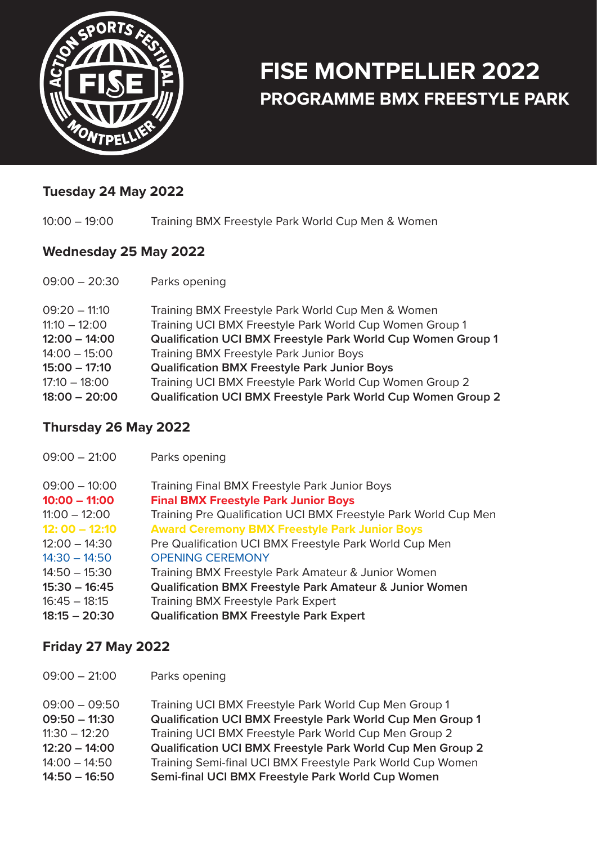

# **FISE MONTPELLIER 2022 PROGRAMME BMX FREESTYLE PARK**

### **Tuesday 24 May 2022**

10:00 – 19:00 Training BMX Freestyle Park World Cup Men & Women

#### **Wednesday 25 May 2022**

| $09:00 - 20:30$                    | Parks opening                                                                                                           |
|------------------------------------|-------------------------------------------------------------------------------------------------------------------------|
| $09:20 - 11:10$<br>$11:10 - 12:00$ | Training BMX Freestyle Park World Cup Men & Women<br>Training UCI BMX Freestyle Park World Cup Women Group 1            |
| $12:00 - 14:00$                    | Qualification UCI BMX Freestyle Park World Cup Women Group 1                                                            |
| $14:00 - 15:00$                    | <b>Training BMX Freestyle Park Junior Boys</b>                                                                          |
| $15:00 - 17:10$                    | <b>Qualification BMX Freestyle Park Junior Boys</b>                                                                     |
| $17:10 - 18:00$<br>$18:00 - 20:00$ | Training UCI BMX Freestyle Park World Cup Women Group 2<br>Qualification UCI BMX Freestyle Park World Cup Women Group 2 |

#### **Thursday 26 May 2022**

| $09:00 - 21:00$ | Parks opening                                                      |
|-----------------|--------------------------------------------------------------------|
| $09:00 - 10:00$ | <b>Training Final BMX Freestyle Park Junior Boys</b>               |
| $10:00 - 11:00$ | <b>Final BMX Freestyle Park Junior Boys</b>                        |
| $11:00 - 12:00$ | Training Pre Qualification UCI BMX Freestyle Park World Cup Men    |
| $12:00 - 12:10$ | <b>Award Ceremony BMX Freestyle Park Junior Boys</b>               |
| $12:00 - 14:30$ | Pre Qualification UCI BMX Freestyle Park World Cup Men             |
| $14:30 - 14:50$ | <b>OPENING CEREMONY</b>                                            |
| $14:50 - 15:30$ | Training BMX Freestyle Park Amateur & Junior Women                 |
| $15:30 - 16:45$ | <b>Qualification BMX Freestyle Park Amateur &amp; Junior Women</b> |
| $16:45 - 18:15$ | Training BMX Freestyle Park Expert                                 |
| $18:15 - 20:30$ | <b>Qualification BMX Freestyle Park Expert</b>                     |

#### **Friday 27 May 2022**

| $09:00 - 21:00$ | Parks opening |
|-----------------|---------------|
|-----------------|---------------|

| $09:00 - 09:50$ | Training UCI BMX Freestyle Park World Cup Men Group 1      |
|-----------------|------------------------------------------------------------|
| $09:50 - 11:30$ | Qualification UCI BMX Freestyle Park World Cup Men Group 1 |
| $11:30 - 12:20$ | Training UCI BMX Freestyle Park World Cup Men Group 2      |
| $12:20 - 14:00$ | Qualification UCI BMX Freestyle Park World Cup Men Group 2 |
| $14:00 - 14:50$ | Training Semi-final UCI BMX Freestyle Park World Cup Women |
| $14:50 - 16:50$ | Semi-final UCI BMX Freestyle Park World Cup Women          |